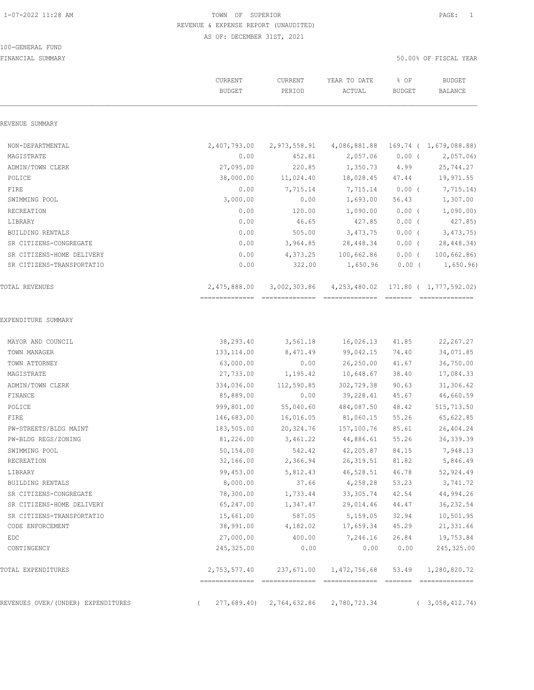# 100-GENERAL FUND

|                                    | CURRENT<br><b>BUDGET</b> | CURRENT<br>PERIOD | YEAR TO DATE<br>ACTUAL | % OF<br><b>BUDGET</b> | <b>BUDGET</b><br>BALANCE                  |
|------------------------------------|--------------------------|-------------------|------------------------|-----------------------|-------------------------------------------|
| REVENUE SUMMARY                    |                          |                   |                        |                       |                                           |
| NON-DEPARTMENTAL                   | 2,407,793.00             | 2,973,558.91      |                        |                       | 4,086,881.88 169.74 ( 1,679,088.88)       |
| MAGISTRATE                         | 0.00                     | 452.81            | 2,057.06               | $0.00$ (              | 2,057.06                                  |
| ADMIN/TOWN CLERK                   | 27,095.00                | 220.85            | 1,350.73               | 4.99                  | 25,744.27                                 |
| POLICE                             | 38,000.00                | 11,024.40         | 18,028.45              | 47.44                 | 19,971.55                                 |
| FIRE                               | 0.00                     | 7,715.14          | 7,715.14               | $0.00$ (              | 7,715.14)                                 |
| SWIMMING POOL                      | 3,000.00                 | 0.00              | 1,693.00               | 56.43                 | 1,307.00                                  |
| RECREATION                         | 0.00                     | 120.00            | 1,090.00               | 0.00(                 | 1,090.00                                  |
| LIBRARY                            | 0.00                     | 46.65             | 427.85                 | $0.00$ (              | 427.85)                                   |
| BUILDING RENTALS                   | 0.00                     | 505.00            | 3,473.75               | $0.00$ (              | 3,473.75                                  |
| SR CITIZENS-CONGREGATE             | 0.00                     | 3,964.85          | 28, 448.34             | $0.00$ (              | 28,448.34)                                |
| SR CITIZENS-HOME DELIVERY          | 0.00                     | 4,373.25          | 100,662.86             | $0.00$ (              | 100,662.86                                |
| SR CITIZENS-TRANSPORTATIO          | 0.00                     | 322.00            | 1,650.96               | $0.00$ (              | 1,650.96)                                 |
| TOTAL REVENUES                     | 2,475,888.00             | 3,002,303.86      | 4, 253, 480.02         |                       | 171.80 ( 1,777,592.02)<br>--------------- |
| EXPENDITURE SUMMARY                |                          |                   |                        |                       |                                           |
| MAYOR AND COUNCIL                  | 38,293.40                | 3,561.18          | 16,026.13              | 41.85                 | 22, 267.27                                |
| TOWN MANAGER                       | 133, 114.00              | 8,471.49          | 99,042.15              | 74.40                 | 34,071.85                                 |
| TOWN ATTORNEY                      | 63,000.00                | 0.00              | 26,250.00              | 41.67                 | 36,750.00                                 |
| MAGISTRATE                         | 27,733.00                | 1,195.42          | 10,648.67              | 38.40                 | 17,084.33                                 |
| ADMIN/TOWN CLERK                   | 334,036.00               | 112,590.85        | 302,729.38             | 90.63                 | 31,306.62                                 |
| FINANCE                            | 85,889.00                | 0.00              | 39,228.41              | 45.67                 | 46,660.59                                 |
| POLICE                             | 999,801.00               | 55,040.60         | 484,087.50             | 48.42                 | 515,713.50                                |
| FIRE                               | 146,683.00               | 16,016.05         | 81,060.15              | 55.26                 | 65,622.85                                 |
| PW-STREETS/BLDG MAINT              | 183,505.00               | 20,324.76         | 157,100.76             | 85.61                 | 26,404.24                                 |
| PW-BLDG REGS/ZONING                | 81,226.00                | 3,461.22          | 44,886.61              | 55.26                 | 36, 339.39                                |
| SWIMMING POOL                      | 50,154.00                | 542.42            | 42,205.87              | 84.15                 | 7,948.13                                  |
| RECREATION                         | 32,166.00                | 2,366.94          | 26, 319.51             | 81.82                 | 5,846.49                                  |
| LIBRARY                            | 99,453.00                | 5,812.43          | 46,528.51              | 46.78                 | 52,924.49                                 |
| BUILDING RENTALS                   | 8,000.00                 | 37.66             | 4,258.28               | 53.23                 | 3,741.72                                  |
| SR CITIZENS-CONGREGATE             | 78,300.00                | 1,733.44          | 33, 305.74             | 42.54                 | 44,994.26                                 |
| SR CITIZENS-HOME DELIVERY          | 65,247.00                | 1,347.47          | 29,014.46              | 44.47                 | 36, 232.54                                |
| SR CITIZENS-TRANSPORTATIO          | 15,661.00                | 587.05            | 5,159.05               | 32.94                 | 10,501.95                                 |
| CODE ENFORCEMENT                   | 38,991.00                | 4,182.02          | 17,659.34              | 45.29                 | 21,331.66                                 |
| EDC                                | 27,000.00                | 400.00            | 7,246.16               | 26.84                 | 19,753.84                                 |
| CONTINGENCY                        | 245,325.00               | 0.00              | 0.00                   | 0.00                  | 245, 325.00                               |
| TOTAL EXPENDITURES                 | 2,753,577.40             | 237,671.00        | 1,472,756.68           | 53.49                 | 1,280,820.72<br>-----------               |
| REVENUES OVER/(UNDER) EXPENDITURES | 277,689.40               | 2,764,632.86      | 2,780,723.34           |                       | (3,058,412.74)                            |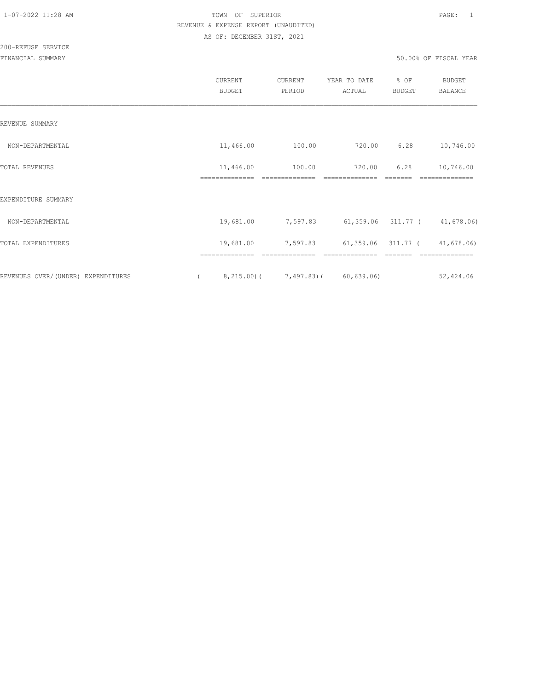|                                    | CURRENT<br><b>BUDGET</b> | CURRENT<br>PERIOD | YEAR TO DATE<br>ACTUAL               | % OF<br><b>BUDGET</b> | <b>BUDGET</b><br><b>BALANCE</b> |
|------------------------------------|--------------------------|-------------------|--------------------------------------|-----------------------|---------------------------------|
| REVENUE SUMMARY                    |                          |                   |                                      |                       |                                 |
| NON-DEPARTMENTAL                   | 11,466.00                | 100.00            | 720.00                               | 6.28                  | 10,746.00                       |
| TOTAL REVENUES                     | 11,466.00                | 100.00            | 720.00                               | 6.28                  | 10,746.00                       |
| EXPENDITURE SUMMARY                |                          |                   |                                      |                       |                                 |
| NON-DEPARTMENTAL                   | 19,681.00                | 7,597.83          | $61,359.06$ $311.77$ ( $41,678.06$ ) |                       |                                 |
| TOTAL EXPENDITURES                 | 19,681.00                | 7,597.83          | 61,359.06 311.77 (                   |                       | 41,678.06)                      |
| REVENUES OVER/(UNDER) EXPENDITURES | 8,215.00(                | 7,497.83)(        | 60, 639.06                           |                       | 52,424.06                       |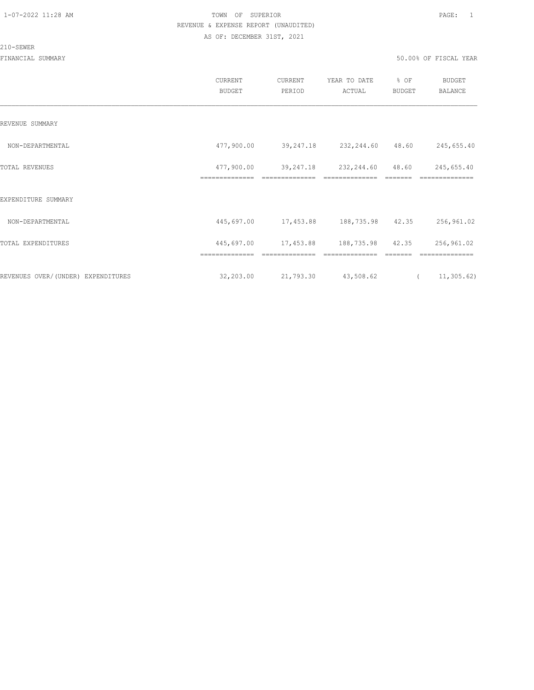#### 210-SEWER

|                                    | CURRENT<br><b>BUDGET</b>     | CURRENT<br>PERIOD                      | YEAR TO DATE<br>ACTUAL       | % OF<br><b>BUDGET</b> | <b>BUDGET</b><br>BALANCE     |
|------------------------------------|------------------------------|----------------------------------------|------------------------------|-----------------------|------------------------------|
| REVENUE SUMMARY                    |                              |                                        |                              |                       |                              |
| NON-DEPARTMENTAL                   | 477,900.00                   |                                        | 39,247.18 232,244.60 48.60   |                       | 245,655.40                   |
| <b>TOTAL REVENUES</b>              | 477,900.00<br>============== | 39,247.18                              | 232,244.60                   | 48.60                 | 245,655.40                   |
| EXPENDITURE SUMMARY                |                              |                                        |                              |                       |                              |
| NON-DEPARTMENTAL                   |                              | 445,697.00 17,453.88 188,735.98 42.35  |                              |                       | 256,961.02                   |
| TOTAL EXPENDITURES                 | ==============               | 445,697.00 17,453.88<br>============== | 188,735.98<br>============== | 42.35                 | 256,961.02<br>============== |
| REVENUES OVER/(UNDER) EXPENDITURES | 32,203.00                    | 21,793.30                              | 43,508.62                    | $\overline{a}$        | 11, 305.62)                  |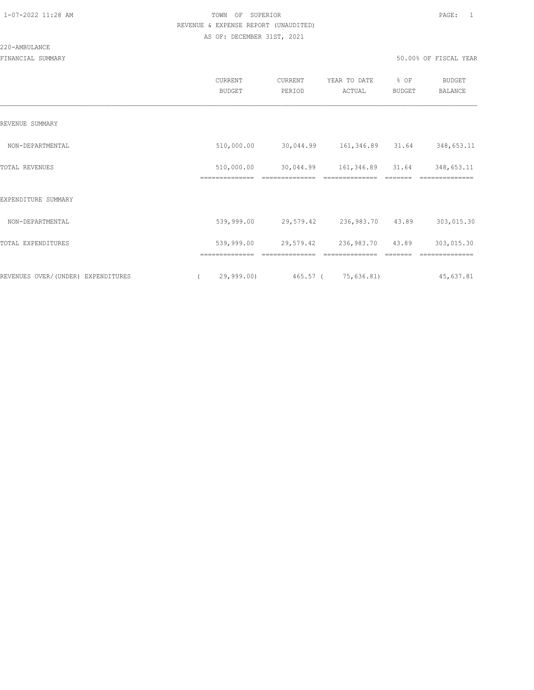#### 220-AMBULANCE

|                                    | CURRENT<br><b>BUDGET</b> | CURRENT<br>PERIOD | YEAR TO DATE<br>ACTUAL         | % OF<br><b>BUDGET</b> | <b>BUDGET</b><br><b>BALANCE</b> |
|------------------------------------|--------------------------|-------------------|--------------------------------|-----------------------|---------------------------------|
| REVENUE SUMMARY                    |                          |                   |                                |                       |                                 |
| NON-DEPARTMENTAL                   | 510,000.00               |                   | 30,044.99   161,346.89   31.64 |                       | 348,653.11                      |
| TOTAL REVENUES                     | 510,000.00               | 30,044.99         | 161,346.89                     | 31.64                 | 348,653.11                      |
| EXPENDITURE SUMMARY                |                          |                   |                                |                       |                                 |
| NON-DEPARTMENTAL                   | 539,999.00               | 29,579.42         | 236,983.70                     | 43.89                 | 303,015.30                      |
| TOTAL EXPENDITURES                 | 539,999.00               | 29,579.42         | 236,983.70 43.89               |                       | 303,015.30                      |
|                                    |                          |                   |                                |                       |                                 |
| REVENUES OVER/(UNDER) EXPENDITURES | 29,999.00)               |                   | 465.57 ( 75,636.81)            |                       | 45,637.81                       |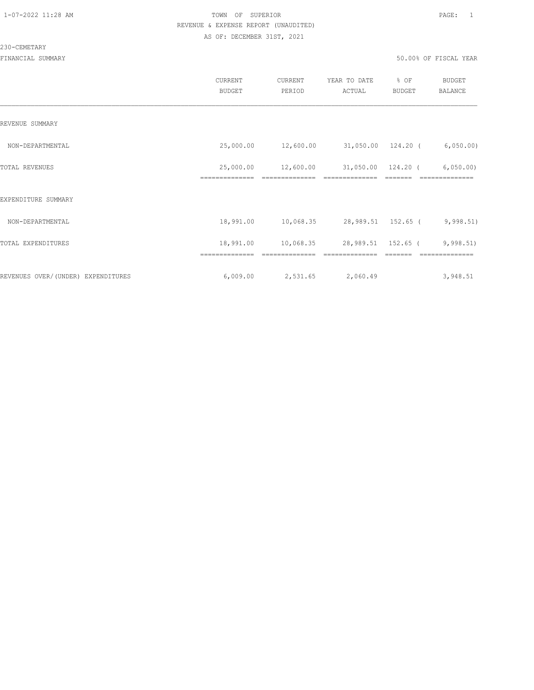#### 230-CEMETARY

|                                    | CURRENT<br><b>BUDGET</b>    | CURRENT<br>PERIOD | YEAR TO DATE<br>ACTUAL | % OF<br><b>BUDGET</b> | <b>BUDGET</b><br><b>BALANCE</b> |
|------------------------------------|-----------------------------|-------------------|------------------------|-----------------------|---------------------------------|
| REVENUE SUMMARY                    |                             |                   |                        |                       |                                 |
| NON-DEPARTMENTAL                   | 25,000.00                   | 12,600.00         | 31,050.00 124.20 (     |                       | 6,050.00)                       |
| TOTAL REVENUES                     | 25,000.00<br>============== | 12,600.00         | 31,050.00              | 124.20 (              | 6,050.00                        |
| EXPENDITURE SUMMARY                |                             |                   |                        |                       |                                 |
| NON-DEPARTMENTAL                   | 18,991.00                   | 10,068.35         | 28,989.51 152.65 (     |                       | 9,998.51)                       |
| TOTAL EXPENDITURES                 | 18,991.00                   | 10,068.35         | 28,989.51 152.65 (     |                       | 9,998.51)                       |
|                                    |                             |                   |                        |                       |                                 |
| REVENUES OVER/(UNDER) EXPENDITURES | 6,009.00                    | 2,531.65          | 2,060.49               |                       | 3,948.51                        |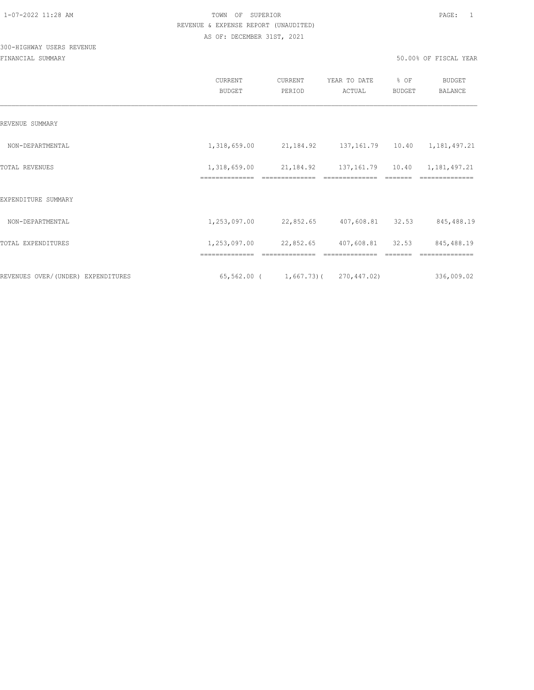# 300-HIGHWAY USERS REVENUE

|                                    | <b>CURRENT</b><br><b>BUDGET</b> | CURRENT<br>PERIOD                               | YEAR TO DATE<br>ACTUAL     | % OF<br><b>BUDGET</b> | <b>BUDGET</b><br><b>BALANCE</b> |
|------------------------------------|---------------------------------|-------------------------------------------------|----------------------------|-----------------------|---------------------------------|
| REVENUE SUMMARY                    |                                 |                                                 |                            |                       |                                 |
| NON-DEPARTMENTAL                   | 1,318,659.00                    | 21, 184. 92 137, 161. 79 10. 40 1, 181, 497. 21 |                            |                       |                                 |
| <b>TOTAL REVENUES</b>              | 1,318,659.00                    | 21, 184. 92 137, 161. 79 10. 40                 |                            |                       | 1,181,497.21                    |
| EXPENDITURE SUMMARY                |                                 |                                                 |                            |                       |                                 |
| NON-DEPARTMENTAL                   | 1,253,097.00                    |                                                 | 22,852.65 407,608.81 32.53 |                       | 845,488.19                      |
| TOTAL EXPENDITURES                 |                                 | 1,253,097.00 22,852.65 407,608.81 32.53         |                            |                       | 845,488.19                      |
|                                    |                                 |                                                 |                            |                       |                                 |
| REVENUES OVER/(UNDER) EXPENDITURES |                                 | $65, 562.00$ ( 1, 667.73) ( 270, 447.02)        |                            |                       | 336,009.02                      |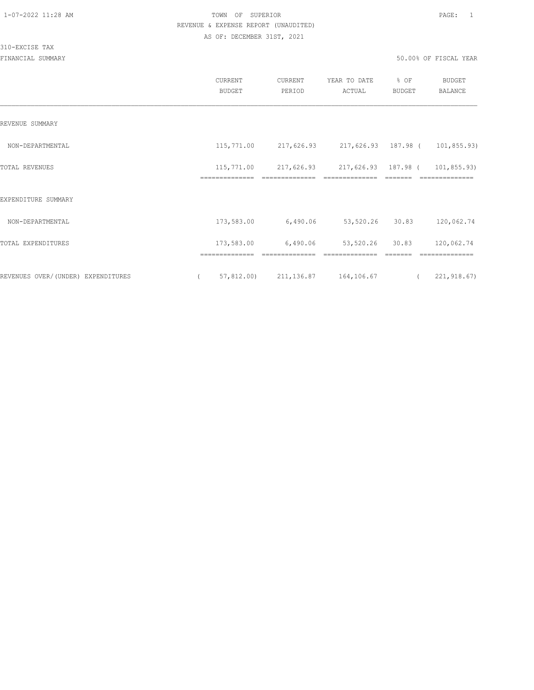#### 310-EXCISE TAX

|                                    | CURRENT<br>BUDGET            | CURRENT<br>PERIOD                                     | YEAR TO DATE<br>ACTUAL            | % OF<br>BUDGET | <b>BUDGET</b><br><b>BALANCE</b> |
|------------------------------------|------------------------------|-------------------------------------------------------|-----------------------------------|----------------|---------------------------------|
| REVENUE SUMMARY                    |                              |                                                       |                                   |                |                                 |
| NON-DEPARTMENTAL                   |                              | 115,771.00 217,626.93 217,626.93 187.98 ( 101,855.93) |                                   |                |                                 |
| TOTAL REVENUES                     | 115,771.00<br>============== | 217,626.93 217,626.93 187.98 (                        |                                   |                | 101,855.93)<br>==========       |
| EXPENDITURE SUMMARY                |                              |                                                       |                                   |                |                                 |
| NON-DEPARTMENTAL                   | 173,583.00                   | 6,490.06                                              | 53,520.26 30.83                   |                | 120,062.74                      |
| TOTAL EXPENDITURES                 | 173,583.00                   | 6,490.06                                              | 53,520.26 30.83<br>-------------- |                | 120,062.74<br>--------------    |
| REVENUES OVER/(UNDER) EXPENDITURES | ==============<br>$\sqrt{2}$ | 57,812.00) 211,136.87 164,106.67                      |                                   | $\overline{a}$ | 221,918.67)                     |
|                                    |                              |                                                       |                                   |                |                                 |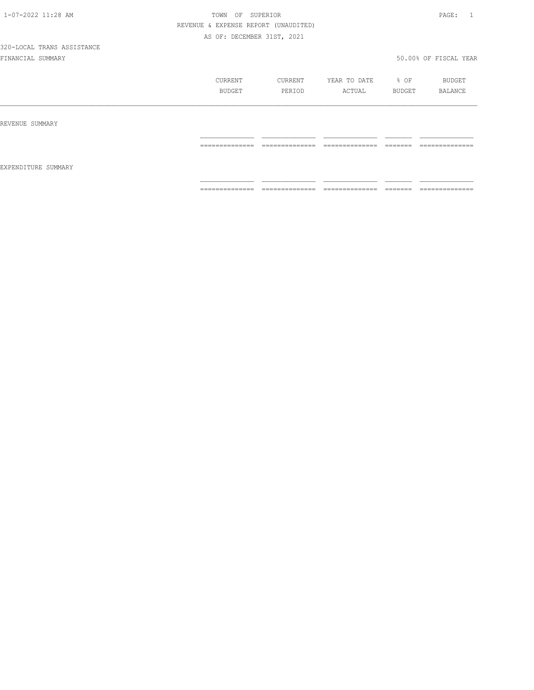|                     | CURRENT<br>BUDGET                                                                                                                                                                                                                                                                                                                                                                                                                                                                            | CURRENT<br>PERIOD                 | YEAR TO DATE<br>ACTUAL                                                                                                                                                                                                                                                                                                                                                                                                                                                                 | % OF<br>BUDGET                                                                                                                                                                                                                                                                                                                                                                                                                                                                           | BUDGET<br>BALANCE                  |
|---------------------|----------------------------------------------------------------------------------------------------------------------------------------------------------------------------------------------------------------------------------------------------------------------------------------------------------------------------------------------------------------------------------------------------------------------------------------------------------------------------------------------|-----------------------------------|----------------------------------------------------------------------------------------------------------------------------------------------------------------------------------------------------------------------------------------------------------------------------------------------------------------------------------------------------------------------------------------------------------------------------------------------------------------------------------------|------------------------------------------------------------------------------------------------------------------------------------------------------------------------------------------------------------------------------------------------------------------------------------------------------------------------------------------------------------------------------------------------------------------------------------------------------------------------------------------|------------------------------------|
| REVENUE SUMMARY     |                                                                                                                                                                                                                                                                                                                                                                                                                                                                                              |                                   |                                                                                                                                                                                                                                                                                                                                                                                                                                                                                        |                                                                                                                                                                                                                                                                                                                                                                                                                                                                                          |                                    |
| EXPENDITURE SUMMARY | --------------<br>.                                                                                                                                                                                                                                                                                                                                                                                                                                                                          | --------------<br>.               | --------------<br>_______________                                                                                                                                                                                                                                                                                                                                                                                                                                                      | --------<br>________                                                                                                                                                                                                                                                                                                                                                                                                                                                                     | --------------<br>------------     |
|                     | $\begin{array}{c} \multicolumn{2}{c} {\textbf{1}} & \multicolumn{2}{c} {\textbf{2}} & \multicolumn{2}{c} {\textbf{3}} & \multicolumn{2}{c} {\textbf{4}} \\ \multicolumn{2}{c} {\textbf{2}} & \multicolumn{2}{c} {\textbf{3}} & \multicolumn{2}{c} {\textbf{4}} & \multicolumn{2}{c} {\textbf{5}} & \multicolumn{2}{c} {\textbf{6}} \\ \multicolumn{2}{c} {\textbf{5}} & \multicolumn{2}{c} {\textbf{6}} & \multicolumn{2}{c} {\textbf{7}} & \multicolumn{2}{c} {\textbf{8}} & \multicolumn{$ | ______________<br>--------------- | $\begin{array}{cccccccccc} \multicolumn{2}{c}{} & \multicolumn{2}{c}{} & \multicolumn{2}{c}{} & \multicolumn{2}{c}{} & \multicolumn{2}{c}{} & \multicolumn{2}{c}{} & \multicolumn{2}{c}{} & \multicolumn{2}{c}{} & \multicolumn{2}{c}{} & \multicolumn{2}{c}{} & \multicolumn{2}{c}{} & \multicolumn{2}{c}{} & \multicolumn{2}{c}{} & \multicolumn{2}{c}{} & \multicolumn{2}{c}{} & \multicolumn{2}{c}{} & \multicolumn{2}{c}{} & \multicolumn{2}{c}{} & \multicolumn{2}{c}{} & \mult$ | $\begin{tabular}{ll} \multicolumn{3}{l}{} & \multicolumn{3}{l}{} & \multicolumn{3}{l}{} \\ \multicolumn{3}{l}{} & \multicolumn{3}{l}{} & \multicolumn{3}{l}{} \\ \multicolumn{3}{l}{} & \multicolumn{3}{l}{} & \multicolumn{3}{l}{} \\ \multicolumn{3}{l}{} & \multicolumn{3}{l}{} & \multicolumn{3}{l}{} \\ \multicolumn{3}{l}{} & \multicolumn{3}{l}{} & \multicolumn{3}{l}{} \\ \multicolumn{3}{l}{} & \multicolumn{3}{l}{} & \multicolumn{3}{l}{} \\ \multicolumn{3}{l}{} & \multic$ | --------------<br>---------------- |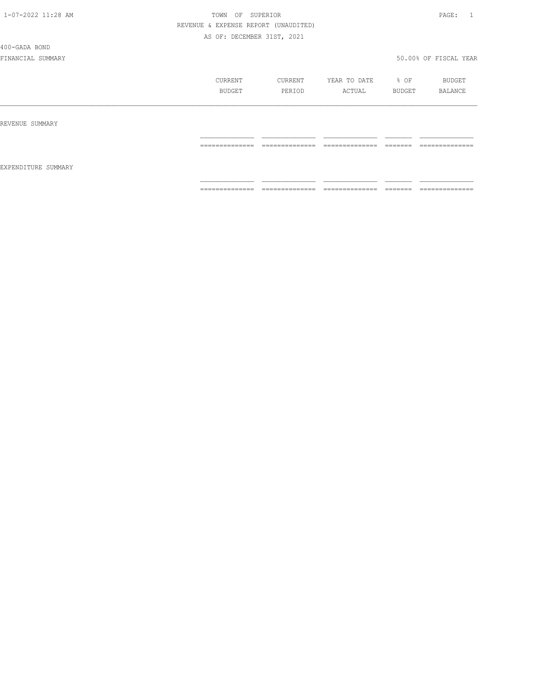400-GADA BOND

|                     | CURRENT<br>BUDGET                                                                                                                                                                                                                                                                                                                                                                                                                                                                      | CURRENT<br>PERIOD                 | YEAR TO DATE<br>ACTUAL                                                                                                                                                                                                                                                                                                                                                                                                                                                                       | % OF<br>BUDGET      | BUDGET<br>BALANCE                  |
|---------------------|----------------------------------------------------------------------------------------------------------------------------------------------------------------------------------------------------------------------------------------------------------------------------------------------------------------------------------------------------------------------------------------------------------------------------------------------------------------------------------------|-----------------------------------|----------------------------------------------------------------------------------------------------------------------------------------------------------------------------------------------------------------------------------------------------------------------------------------------------------------------------------------------------------------------------------------------------------------------------------------------------------------------------------------------|---------------------|------------------------------------|
| REVENUE SUMMARY     |                                                                                                                                                                                                                                                                                                                                                                                                                                                                                        |                                   |                                                                                                                                                                                                                                                                                                                                                                                                                                                                                              |                     |                                    |
|                     | ______________<br>----------------                                                                                                                                                                                                                                                                                                                                                                                                                                                     | ______________<br>-------------   | ______________<br>_______________                                                                                                                                                                                                                                                                                                                                                                                                                                                            | --------<br>------- | ______________<br>---------------  |
| EXPENDITURE SUMMARY |                                                                                                                                                                                                                                                                                                                                                                                                                                                                                        |                                   |                                                                                                                                                                                                                                                                                                                                                                                                                                                                                              |                     |                                    |
|                     | $\begin{array}{cccccccccc} \multicolumn{2}{c}{} & \multicolumn{2}{c}{} & \multicolumn{2}{c}{} & \multicolumn{2}{c}{} & \multicolumn{2}{c}{} & \multicolumn{2}{c}{} & \multicolumn{2}{c}{} & \multicolumn{2}{c}{} & \multicolumn{2}{c}{} & \multicolumn{2}{c}{} & \multicolumn{2}{c}{} & \multicolumn{2}{c}{} & \multicolumn{2}{c}{} & \multicolumn{2}{c}{} & \multicolumn{2}{c}{} & \multicolumn{2}{c}{} & \multicolumn{2}{c}{} & \multicolumn{2}{c}{} & \multicolumn{2}{c}{} & \mult$ | ______________<br>--------------- | $\begin{array}{c} \multicolumn{2}{c} {\textbf{1}} & \multicolumn{2}{c} {\textbf{2}} & \multicolumn{2}{c} {\textbf{3}} & \multicolumn{2}{c} {\textbf{4}} \\ \multicolumn{2}{c} {\textbf{2}} & \multicolumn{2}{c} {\textbf{3}} & \multicolumn{2}{c} {\textbf{4}} & \multicolumn{2}{c} {\textbf{5}} & \multicolumn{2}{c} {\textbf{6}} \\ \multicolumn{2}{c} {\textbf{5}} & \multicolumn{2}{c} {\textbf{6}} & \multicolumn{2}{c} {\textbf{7}} & \multicolumn{2}{c} {\textbf{8}} & \multicolumn{$ |                     | ______________<br>---------------- |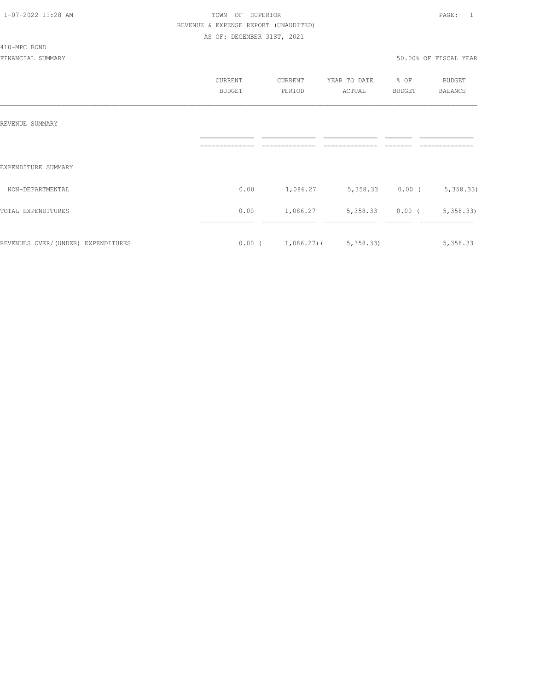#### 410-MPC BOND

|                                    | CURRENT<br><b>BUDGET</b> | CURRENT<br>PERIOD                    | YEAR TO DATE<br>ACTUAL | % OF<br><b>BUDGET</b> | BUDGET<br><b>BALANCE</b> |
|------------------------------------|--------------------------|--------------------------------------|------------------------|-----------------------|--------------------------|
| REVENUE SUMMARY                    |                          |                                      |                        |                       |                          |
| EXPENDITURE SUMMARY                |                          |                                      |                        |                       |                          |
| NON-DEPARTMENTAL                   | 0.00                     | 1,086.27                             | $5,358.33$ 0.00 (      |                       | 5,358.33)                |
| TOTAL EXPENDITURES                 | 0.00                     | 1,086.27                             | 5,358.33               | $0.00$ (              | 5,358.33                 |
| REVENUES OVER/(UNDER) EXPENDITURES |                          | $0.00$ ( $1,086.27$ ) ( $5,358.33$ ) |                        |                       | 5,358.33                 |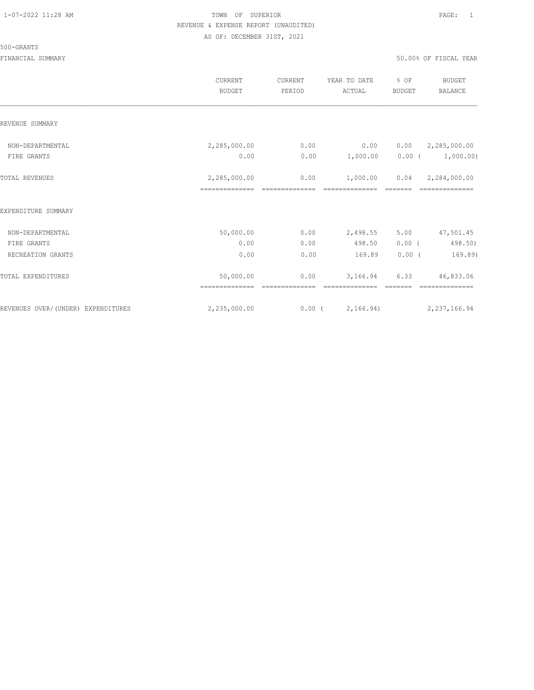#### 500-GRANTS

|                                    | CURRENT<br><b>BUDGET</b> | CURRENT<br>PERIOD | YEAR TO DATE<br>ACTUAL | % OF<br><b>BUDGET</b> | <b>BUDGET</b><br><b>BALANCE</b> |
|------------------------------------|--------------------------|-------------------|------------------------|-----------------------|---------------------------------|
| REVENUE SUMMARY                    |                          |                   |                        |                       |                                 |
| NON-DEPARTMENTAL                   | 2,285,000.00             | 0.00              | 0.00                   | 0.00                  | 2,285,000.00                    |
| FIRE GRANTS                        | 0.00                     | 0.00              | 1,000.00               | $0.00$ (              | 1,000.00)                       |
| <b>TOTAL REVENUES</b>              | 2,285,000.00             | 0.00              | 1,000.00               | 0.04                  | 2,284,000.00                    |
| EXPENDITURE SUMMARY                |                          |                   |                        |                       |                                 |
| NON-DEPARTMENTAL                   | 50,000.00                | 0.00              | 2,498.55               | 5.00                  | 47,501.45                       |
| FIRE GRANTS                        | 0.00                     | 0.00              | 498.50                 | 0.00(                 | 498.50)                         |
| RECREATION GRANTS                  | 0.00                     | 0.00              | 169.89                 | 0.00(                 | 169.89)                         |
| TOTAL EXPENDITURES                 | 50,000.00                | 0.00              | 3,166.94               | 6.33                  | 46,833.06                       |
| REVENUES OVER/(UNDER) EXPENDITURES | 2,235,000.00             | $0.00$ (          | 2,166.94)              |                       | 2, 237, 166.94                  |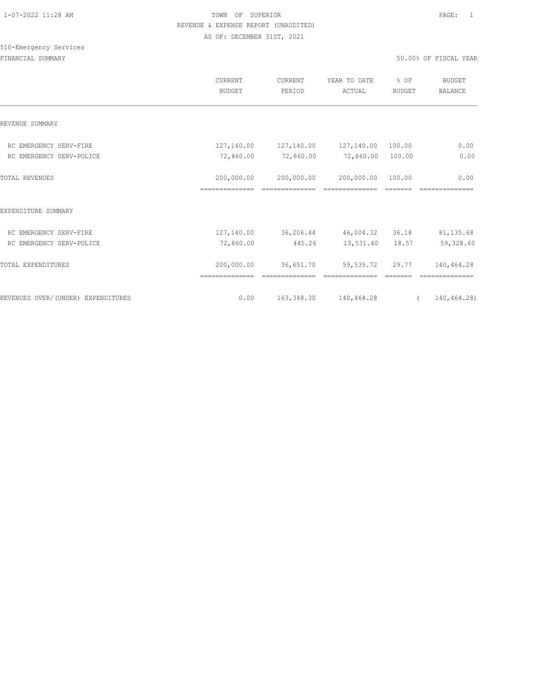# 510-Emergency Services

|                                    | CURRENT<br><b>BUDGET</b>     | CURRENT<br>PERIOD                       | YEAR TO DATE<br>ACTUAL               | % OF<br><b>BUDGET</b> | BUDGET<br><b>BALANCE</b> |
|------------------------------------|------------------------------|-----------------------------------------|--------------------------------------|-----------------------|--------------------------|
| REVENUE SUMMARY                    |                              |                                         |                                      |                       |                          |
| RC EMERGENCY SERV-FIRE             |                              | 127, 140.00   127, 140.00   127, 140.00 |                                      | 100.00                | 0.00                     |
| RC EMERGENCY SERV-POLICE           | 72,860.00                    | 72,860.00                               | 72,860.00                            | 100.00                | 0.00                     |
| <b>TOTAL REVENUES</b>              | 200,000.00<br>============== | 200,000.00                              | 200,000.00                           | 100.00                | 0.00                     |
| EXPENDITURE SUMMARY                |                              |                                         |                                      |                       |                          |
| RC EMERGENCY SERV-FIRE             |                              |                                         | 127,140.00 36,206.44 46,004.32 36.18 |                       | 81, 135.68               |
| RC EMERGENCY SERV-POLICE           | 72,860.00                    | 445.26                                  | 13,531.40 18.57                      |                       | 59,328.60                |
| TOTAL EXPENDITURES                 | 200,000.00<br>============== | 36,651.70                               | 59,535.72                            | 29.77                 | 140,464.28               |
| REVENUES OVER/(UNDER) EXPENDITURES | 0.00                         |                                         | 163, 348.30 140, 464.28              | $\sqrt{2}$            | 140,464.28)              |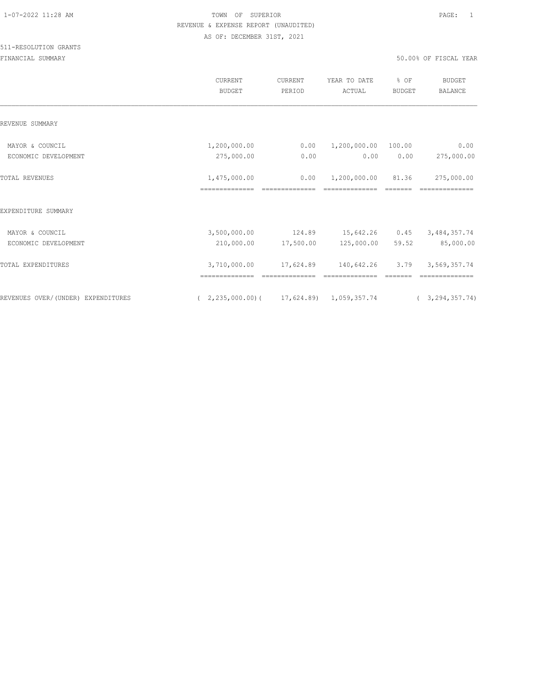|                                    | CURRENT<br><b>BUDGET</b>                           | CURRENT<br>PERIOD | YEAR TO DATE<br>ACTUAL | % OF<br><b>BUDGET</b> | BUDGET<br><b>BALANCE</b> |
|------------------------------------|----------------------------------------------------|-------------------|------------------------|-----------------------|--------------------------|
| REVENUE SUMMARY                    |                                                    |                   |                        |                       |                          |
| MAYOR & COUNCIL                    | 1,200,000.00                                       | 0.00              | 1,200,000.00           | 100.00                | 0.00                     |
| ECONOMIC DEVELOPMENT               | 275,000.00                                         | 0.00              | 0.00                   | 0.00                  | 275,000.00               |
| <b>TOTAL REVENUES</b>              | 1,475,000.00                                       | 0.00              | 1,200,000.00           | 81.36                 | 275,000.00               |
|                                    |                                                    |                   |                        |                       |                          |
| EXPENDITURE SUMMARY                |                                                    |                   |                        |                       |                          |
| MAYOR & COUNCIL                    | 3,500,000.00                                       | 124.89            | 15,642.26 0.45         |                       | 3, 484, 357.74           |
| ECONOMIC DEVELOPMENT               | 210,000.00                                         | 17,500.00         | 125,000.00             | 59.52                 | 85,000.00                |
| <b>TOTAL EXPENDITURES</b>          | 3,710,000.00                                       | 17,624.89         | 140,642.26             | 3.79                  | 3,569,357.74             |
|                                    |                                                    |                   |                        |                       |                          |
| REVENUES OVER/(UNDER) EXPENDITURES | $(2, 235, 000.00)$ $(17, 624.89)$ $1, 059, 357.74$ |                   |                        |                       | (3, 294, 357, 74)        |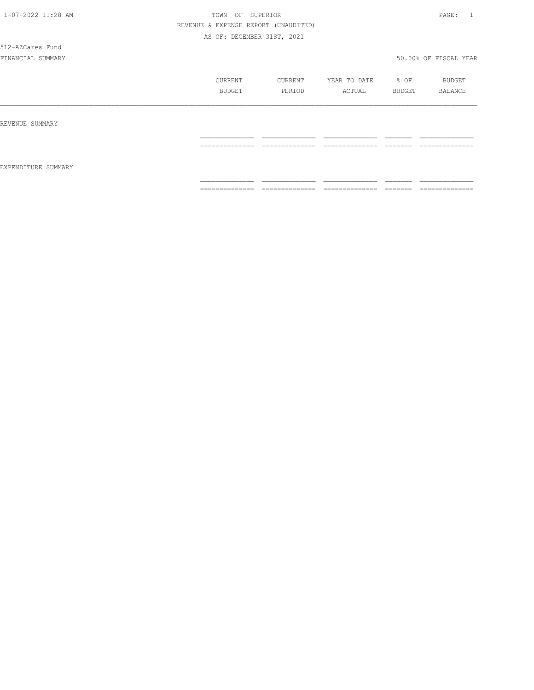512-AZCares Fund

|                     | CURRENT<br>BUDGET | CURRENT<br>PERIOD                  | YEAR TO DATE<br>ACTUAL             | % OF<br>BUDGET | BUDGET<br>BALANCE                  |
|---------------------|-------------------|------------------------------------|------------------------------------|----------------|------------------------------------|
| REVENUE SUMMARY     |                   |                                    |                                    |                |                                    |
| EXPENDITURE SUMMARY | ==============    | ---------------<br>--------------- | ---------------<br>_______________ |                | ---------------<br>--------------- |
|                     | ==============    | ---------------<br>--------------  |                                    |                | ---------------<br>--------------- |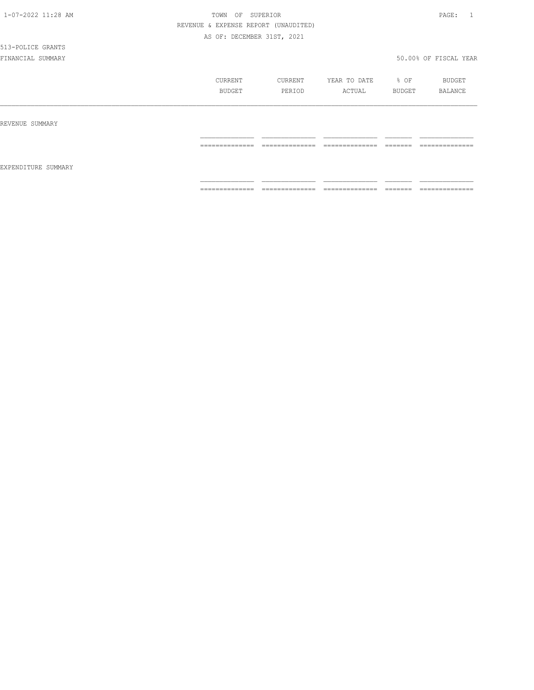# 513-POLICE GRANTS

|                     | CURRENT<br>BUDGET               | CURRENT<br>PERIOD            | YEAR TO DATE<br>ACTUAL            | $8$ OF<br>BUDGET   | BUDGET<br>BALANCE                                                                                                                                                                                                                                                                                                                                                                                                                                                                            |
|---------------------|---------------------------------|------------------------------|-----------------------------------|--------------------|----------------------------------------------------------------------------------------------------------------------------------------------------------------------------------------------------------------------------------------------------------------------------------------------------------------------------------------------------------------------------------------------------------------------------------------------------------------------------------------------|
| REVENUE SUMMARY     |                                 |                              |                                   |                    |                                                                                                                                                                                                                                                                                                                                                                                                                                                                                              |
|                     | ---------------<br>------------ | ______________<br>---------- | ______________<br>----------      | --------<br>====== | ______________<br>------------                                                                                                                                                                                                                                                                                                                                                                                                                                                               |
| EXPENDITURE SUMMARY |                                 |                              |                                   |                    |                                                                                                                                                                                                                                                                                                                                                                                                                                                                                              |
|                     | ==============                  | $2222222222222222$           | ______________<br>_______________ |                    | $\begin{array}{c} \multicolumn{2}{c} {\textbf{1}} & \multicolumn{2}{c} {\textbf{2}} & \multicolumn{2}{c} {\textbf{3}} & \multicolumn{2}{c} {\textbf{4}} \\ \multicolumn{2}{c} {\textbf{2}} & \multicolumn{2}{c} {\textbf{3}} & \multicolumn{2}{c} {\textbf{4}} & \multicolumn{2}{c} {\textbf{5}} & \multicolumn{2}{c} {\textbf{6}} \\ \multicolumn{2}{c} {\textbf{4}} & \multicolumn{2}{c} {\textbf{5}} & \multicolumn{2}{c} {\textbf{6}} & \multicolumn{2}{c} {\textbf{6}} & \multicolumn{$ |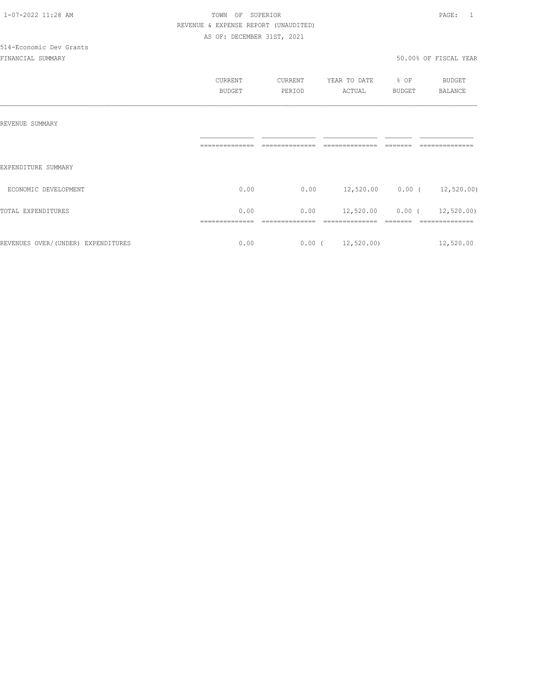|                                    | CURRENT       | CURRENT | YEAR TO DATE           | % OF     | BUDGET                         |
|------------------------------------|---------------|---------|------------------------|----------|--------------------------------|
|                                    | <b>BUDGET</b> | PERIOD  | ACTUAL                 | BUDGET   | <b>BALANCE</b>                 |
|                                    |               |         |                        |          |                                |
|                                    |               |         |                        |          |                                |
| REVENUE SUMMARY                    |               |         |                        |          |                                |
|                                    |               |         |                        |          |                                |
|                                    |               |         |                        |          |                                |
| EXPENDITURE SUMMARY                |               |         |                        |          |                                |
|                                    |               |         |                        |          |                                |
| ECONOMIC DEVELOPMENT               | 0.00          | 0.00    |                        |          | 12,520.00   0.00 $(12,520.00)$ |
| TOTAL EXPENDITURES                 | 0.00          | 0.00    | 12,520.00              | $0.00$ ( | 12,520.00)                     |
|                                    |               |         |                        |          |                                |
|                                    |               |         |                        |          |                                |
| REVENUES OVER/(UNDER) EXPENDITURES | 0.00          |         | $0.00$ ( $12,520.00$ ) |          | 12,520.00                      |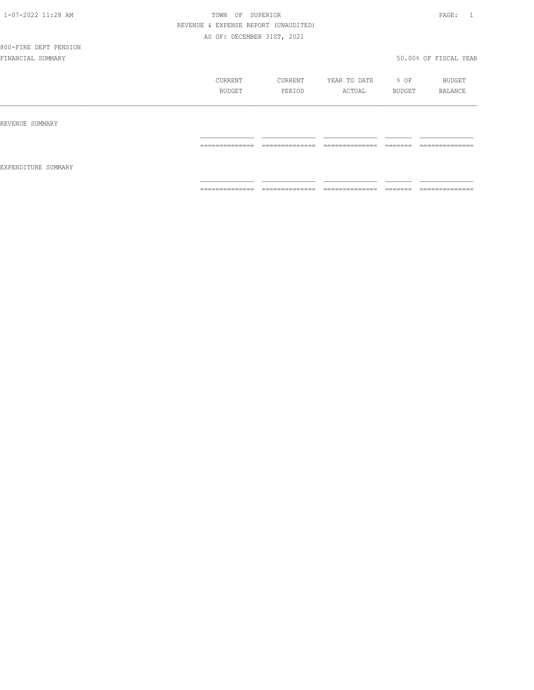# 800-FIRE DEPT PENSION

|                     | CURRENT<br>BUDGET                                                                                                                                                                                                                                                                                                                                                                                                                                                                            | CURRENT<br>PERIOD                 | YEAR TO DATE<br>ACTUAL                                                                                                                                                                                                                                                                                                                                                                                                                                                                 | % OF<br>BUDGET                                                                                                                                                                                                                                                                                                                                                                                                                                                                                                                                                    | BUDGET<br>BALANCE                 |
|---------------------|----------------------------------------------------------------------------------------------------------------------------------------------------------------------------------------------------------------------------------------------------------------------------------------------------------------------------------------------------------------------------------------------------------------------------------------------------------------------------------------------|-----------------------------------|----------------------------------------------------------------------------------------------------------------------------------------------------------------------------------------------------------------------------------------------------------------------------------------------------------------------------------------------------------------------------------------------------------------------------------------------------------------------------------------|-------------------------------------------------------------------------------------------------------------------------------------------------------------------------------------------------------------------------------------------------------------------------------------------------------------------------------------------------------------------------------------------------------------------------------------------------------------------------------------------------------------------------------------------------------------------|-----------------------------------|
| REVENUE SUMMARY     |                                                                                                                                                                                                                                                                                                                                                                                                                                                                                              |                                   |                                                                                                                                                                                                                                                                                                                                                                                                                                                                                        |                                                                                                                                                                                                                                                                                                                                                                                                                                                                                                                                                                   |                                   |
| EXPENDITURE SUMMARY | ==============                                                                                                                                                                                                                                                                                                                                                                                                                                                                               | --------------<br>.               | ==============                                                                                                                                                                                                                                                                                                                                                                                                                                                                         | =======                                                                                                                                                                                                                                                                                                                                                                                                                                                                                                                                                           | ==============                    |
|                     | $\begin{array}{c} \multicolumn{2}{c} {\textbf{1}} & \multicolumn{2}{c} {\textbf{2}} & \multicolumn{2}{c} {\textbf{3}} & \multicolumn{2}{c} {\textbf{4}} \\ \multicolumn{2}{c} {\textbf{2}} & \multicolumn{2}{c} {\textbf{3}} & \multicolumn{2}{c} {\textbf{4}} & \multicolumn{2}{c} {\textbf{5}} & \multicolumn{2}{c} {\textbf{6}} \\ \multicolumn{2}{c} {\textbf{4}} & \multicolumn{2}{c} {\textbf{5}} & \multicolumn{2}{c} {\textbf{6}} & \multicolumn{2}{c} {\textbf{6}} & \multicolumn{$ | ______________<br>--------------- | $\begin{array}{cccccccccc} \multicolumn{2}{c}{} & \multicolumn{2}{c}{} & \multicolumn{2}{c}{} & \multicolumn{2}{c}{} & \multicolumn{2}{c}{} & \multicolumn{2}{c}{} & \multicolumn{2}{c}{} & \multicolumn{2}{c}{} & \multicolumn{2}{c}{} & \multicolumn{2}{c}{} & \multicolumn{2}{c}{} & \multicolumn{2}{c}{} & \multicolumn{2}{c}{} & \multicolumn{2}{c}{} & \multicolumn{2}{c}{} & \multicolumn{2}{c}{} & \multicolumn{2}{c}{} & \multicolumn{2}{c}{} & \multicolumn{2}{c}{} & \mult$ | $\begin{array}{c} \begin{array}{c} \begin{array}{c} \begin{array}{c} \begin{array}{c} \end{array}\\ \end{array}\\ \end{array} \end{array} \end{array} \end{array} \end{array} \end{array} \end{array} \begin{array}{c} \begin{array}{c} \begin{array}{c} \begin{array}{c} \end{array}\\ \end{array} \end{array} \end{array} \end{array} \begin{array}{c} \begin{array}{c} \begin{array}{c} \end{array}\\ \end{array} \end{array} \end{array} \begin{array}{c} \begin{array}{c} \begin{array}{c} \end{array}\\ \end{array} \end{array} \end{array} \begin{array}{$ | ______________<br>--------------- |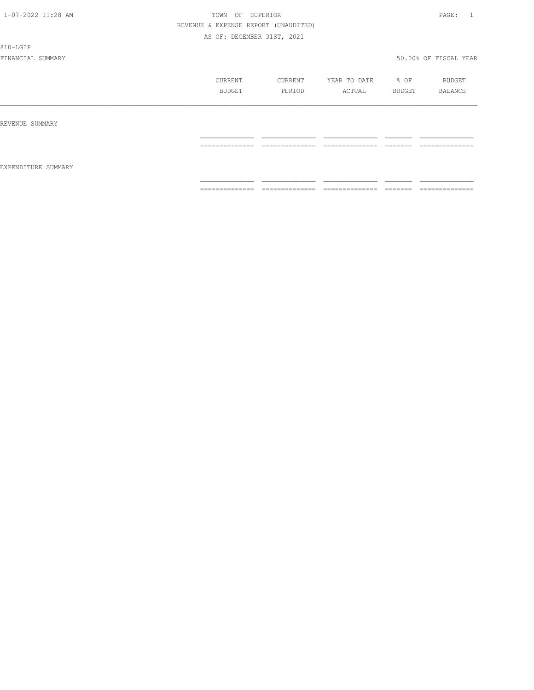810-LGIP

|                     | CURRENT<br>BUDGET | CURRENT<br>PERIOD                 | YEAR TO DATE<br>ACTUAL | % OF<br>BUDGET      | BUDGET<br>BALANCE              |
|---------------------|-------------------|-----------------------------------|------------------------|---------------------|--------------------------------|
| REVENUE SUMMARY     |                   |                                   |                        |                     |                                |
| EXPENDITURE SUMMARY | ==============    | ______________<br>.               | ______________<br>.    | --------<br>------- | ______________<br>------------ |
|                     | ==============    | ______________<br>--------------- | ==============         | =======             | ==============                 |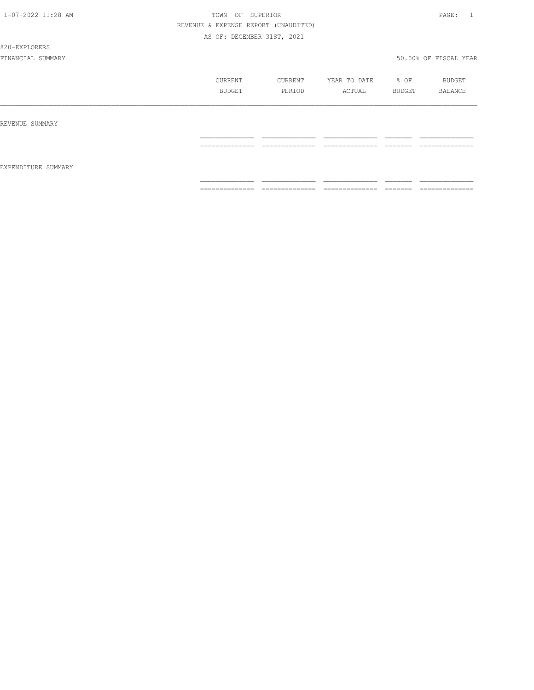820-EXPLORERS

|                     | CURRENT<br>BUDGET                                                                                                                                                                                                                                                                                                                                                                                                                                                                      | CURRENT<br>PERIOD                 | YEAR TO DATE<br>ACTUAL                                                                                                                                                                                                                                                                                                                                                                                                                                                                       | % OF<br>BUDGET      | BUDGET<br>BALANCE                  |
|---------------------|----------------------------------------------------------------------------------------------------------------------------------------------------------------------------------------------------------------------------------------------------------------------------------------------------------------------------------------------------------------------------------------------------------------------------------------------------------------------------------------|-----------------------------------|----------------------------------------------------------------------------------------------------------------------------------------------------------------------------------------------------------------------------------------------------------------------------------------------------------------------------------------------------------------------------------------------------------------------------------------------------------------------------------------------|---------------------|------------------------------------|
| REVENUE SUMMARY     |                                                                                                                                                                                                                                                                                                                                                                                                                                                                                        |                                   |                                                                                                                                                                                                                                                                                                                                                                                                                                                                                              |                     |                                    |
|                     | ______________<br>----------------                                                                                                                                                                                                                                                                                                                                                                                                                                                     | ______________<br>-------------   | ______________<br>_______________                                                                                                                                                                                                                                                                                                                                                                                                                                                            | --------<br>------- | ______________<br>---------------  |
| EXPENDITURE SUMMARY |                                                                                                                                                                                                                                                                                                                                                                                                                                                                                        |                                   |                                                                                                                                                                                                                                                                                                                                                                                                                                                                                              |                     |                                    |
|                     | $\begin{array}{cccccccccc} \multicolumn{2}{c}{} & \multicolumn{2}{c}{} & \multicolumn{2}{c}{} & \multicolumn{2}{c}{} & \multicolumn{2}{c}{} & \multicolumn{2}{c}{} & \multicolumn{2}{c}{} & \multicolumn{2}{c}{} & \multicolumn{2}{c}{} & \multicolumn{2}{c}{} & \multicolumn{2}{c}{} & \multicolumn{2}{c}{} & \multicolumn{2}{c}{} & \multicolumn{2}{c}{} & \multicolumn{2}{c}{} & \multicolumn{2}{c}{} & \multicolumn{2}{c}{} & \multicolumn{2}{c}{} & \multicolumn{2}{c}{} & \mult$ | ______________<br>--------------- | $\begin{array}{c} \multicolumn{2}{c} {\textbf{1}} & \multicolumn{2}{c} {\textbf{2}} & \multicolumn{2}{c} {\textbf{3}} & \multicolumn{2}{c} {\textbf{4}} \\ \multicolumn{2}{c} {\textbf{2}} & \multicolumn{2}{c} {\textbf{3}} & \multicolumn{2}{c} {\textbf{4}} & \multicolumn{2}{c} {\textbf{5}} & \multicolumn{2}{c} {\textbf{6}} \\ \multicolumn{2}{c} {\textbf{5}} & \multicolumn{2}{c} {\textbf{6}} & \multicolumn{2}{c} {\textbf{7}} & \multicolumn{2}{c} {\textbf{8}} & \multicolumn{$ |                     | ______________<br>---------------- |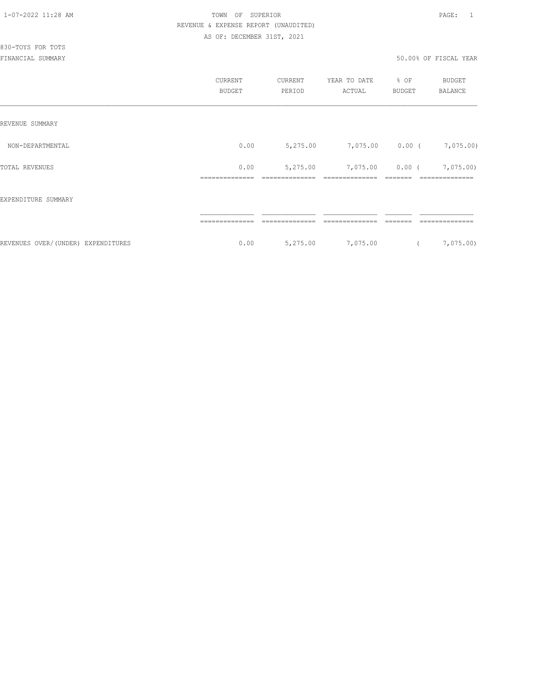|                                     | CURRENT<br><b>BUDGET</b> | CURRENT<br>PERIOD | YEAR TO DATE<br>ACTUAL | % OF<br><b>BUDGET</b> | <b>BUDGET</b><br><b>BALANCE</b> |
|-------------------------------------|--------------------------|-------------------|------------------------|-----------------------|---------------------------------|
| REVENUE SUMMARY                     |                          |                   |                        |                       |                                 |
| NON-DEPARTMENTAL                    | 0.00                     | 5,275.00          | 7,075.00               | $0.00$ (              | 7,075.00)                       |
| TOTAL REVENUES                      | 0.00<br>------------     | 5,275.00          | 7,075.00               | $0.00$ (              | 7,075.00)<br>==============     |
| EXPENDITURE SUMMARY                 |                          |                   |                        |                       |                                 |
|                                     |                          |                   |                        |                       |                                 |
| REVENUES OVER/ (UNDER) EXPENDITURES | 0.00                     | 5,275.00          | 7,075.00               |                       | 7,075.00)                       |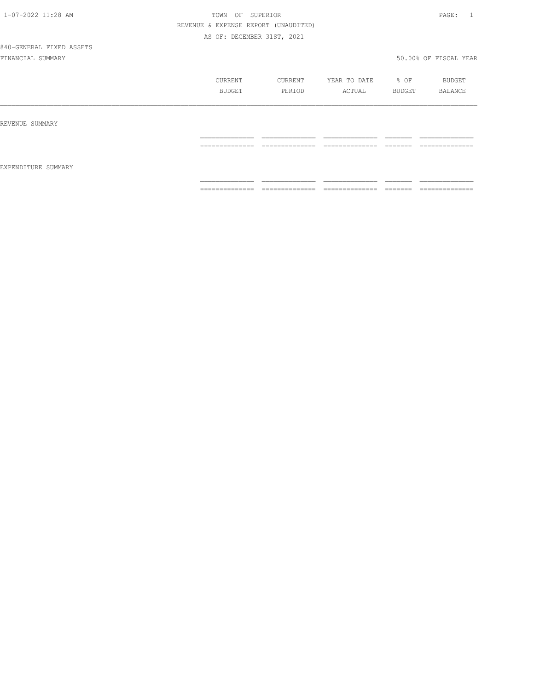# 840-GENERAL FIXED ASSETS

|                     | CURRENT<br>BUDGET | CURRENT<br>PERIOD               | YEAR TO DATE<br>ACTUAL          | % OF<br>BUDGET    | BUDGET<br>BALANCE |
|---------------------|-------------------|---------------------------------|---------------------------------|-------------------|-------------------|
| REVENUE SUMMARY     |                   |                                 |                                 |                   |                   |
|                     | ==============    | ______________<br>------------- | ==============                  | =======           | ==============    |
| EXPENDITURE SUMMARY |                   |                                 |                                 |                   |                   |
|                     | ==============    | ______________<br>____________  | ______________<br>_____________ | -------<br>====== | ==============    |